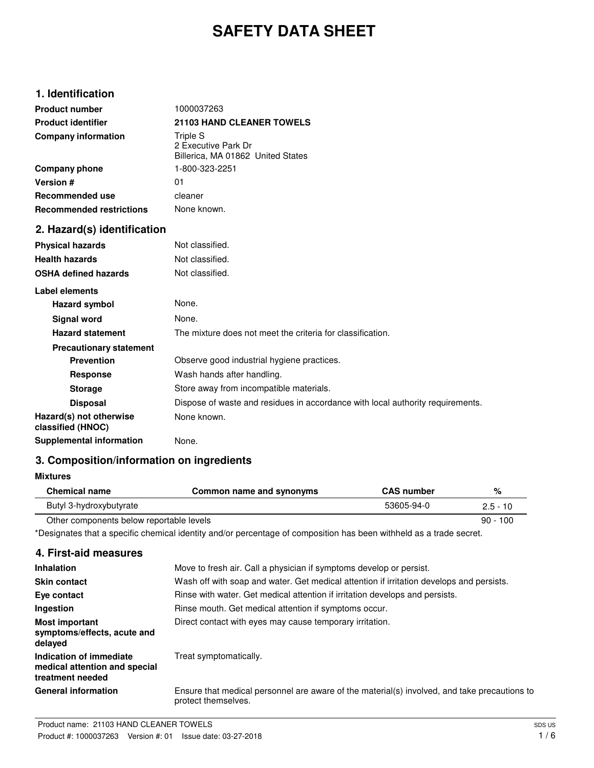# **SAFETY DATA SHEET**

## **1. Identification**

| <b>Product number</b>                        | 1000037263                                                                     |
|----------------------------------------------|--------------------------------------------------------------------------------|
| <b>Product identifier</b>                    | <b>21103 HAND CLEANER TOWELS</b>                                               |
| <b>Company information</b>                   | Triple S<br>2 Executive Park Dr<br>Billerica, MA 01862 United States           |
| Company phone                                | 1-800-323-2251                                                                 |
| Version #                                    | 01                                                                             |
| <b>Recommended use</b>                       | cleaner                                                                        |
| <b>Recommended restrictions</b>              | None known.                                                                    |
| 2. Hazard(s) identification                  |                                                                                |
| <b>Physical hazards</b>                      | Not classified.                                                                |
| <b>Health hazards</b>                        | Not classified.                                                                |
| <b>OSHA defined hazards</b>                  | Not classified.                                                                |
| Label elements                               |                                                                                |
| Hazard symbol                                | None.                                                                          |
| <b>Signal word</b>                           | None.                                                                          |
| <b>Hazard statement</b>                      | The mixture does not meet the criteria for classification.                     |
| <b>Precautionary statement</b>               |                                                                                |
| <b>Prevention</b>                            | Observe good industrial hygiene practices.                                     |
| <b>Response</b>                              | Wash hands after handling.                                                     |
| <b>Storage</b>                               | Store away from incompatible materials.                                        |
| <b>Disposal</b>                              | Dispose of waste and residues in accordance with local authority requirements. |
| Hazard(s) not otherwise<br>classified (HNOC) | None known.                                                                    |
| <b>Supplemental information</b>              | None.                                                                          |

# **3. Composition/information on ingredients**

#### **Mixtures**

| <b>Chemical name</b>                     | Common name and synonyms | <b>CAS</b> number | %          |
|------------------------------------------|--------------------------|-------------------|------------|
| Butyl 3-hydroxybutyrate                  |                          | 53605-94-0        | $2.5 - 10$ |
| Other components below reportable levels |                          |                   | $90 - 100$ |

\*Designates that a specific chemical identity and/or percentage of composition has been withheld as a trade secret.

## **4. First-aid measures**

| <b>Inhalation</b>                                                            | Move to fresh air. Call a physician if symptoms develop or persist.                                                 |
|------------------------------------------------------------------------------|---------------------------------------------------------------------------------------------------------------------|
| <b>Skin contact</b>                                                          | Wash off with soap and water. Get medical attention if irritation develops and persists.                            |
| Eye contact                                                                  | Rinse with water. Get medical attention if irritation develops and persists.                                        |
| Ingestion                                                                    | Rinse mouth. Get medical attention if symptoms occur.                                                               |
| <b>Most important</b><br>symptoms/effects, acute and<br>delayed              | Direct contact with eyes may cause temporary irritation.                                                            |
| Indication of immediate<br>medical attention and special<br>treatment needed | Treat symptomatically.                                                                                              |
| <b>General information</b>                                                   | Ensure that medical personnel are aware of the material(s) involved, and take precautions to<br>protect themselves. |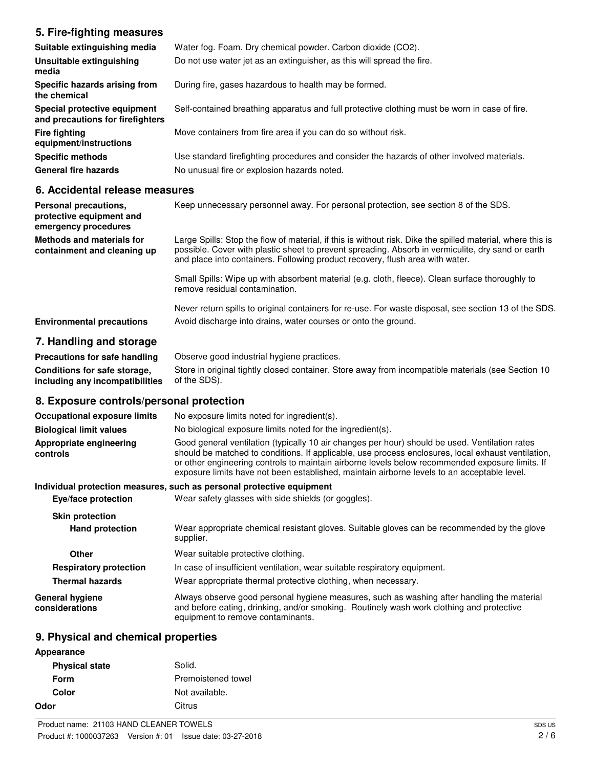# **5. Fire-fighting measures**

| Suitable extinguishing media                                     | Water fog. Foam. Dry chemical powder. Carbon dioxide (CO2).                                   |
|------------------------------------------------------------------|-----------------------------------------------------------------------------------------------|
| Unsuitable extinguishing<br>media                                | Do not use water jet as an extinguisher, as this will spread the fire.                        |
| Specific hazards arising from<br>the chemical                    | During fire, gases hazardous to health may be formed.                                         |
| Special protective equipment<br>and precautions for firefighters | Self-contained breathing apparatus and full protective clothing must be worn in case of fire. |
| <b>Fire fighting</b><br>equipment/instructions                   | Move containers from fire area if you can do so without risk.                                 |
| <b>Specific methods</b>                                          | Use standard firefighting procedures and consider the hazards of other involved materials.    |
| <b>General fire hazards</b>                                      | No unusual fire or explosion hazards noted.                                                   |

#### **6. Accidental release measures**

| Personal precautions,<br>protective equipment and<br>emergency procedures | Keep unnecessary personnel away. For personal protection, see section 8 of the SDS.                                                                                                                                                                                                              |
|---------------------------------------------------------------------------|--------------------------------------------------------------------------------------------------------------------------------------------------------------------------------------------------------------------------------------------------------------------------------------------------|
| <b>Methods and materials for</b><br>containment and cleaning up           | Large Spills: Stop the flow of material, if this is without risk. Dike the spilled material, where this is<br>possible. Cover with plastic sheet to prevent spreading. Absorb in vermiculite, dry sand or earth<br>and place into containers. Following product recovery, flush area with water. |
|                                                                           | Small Spills: Wipe up with absorbent material (e.g. cloth, fleece). Clean surface thoroughly to<br>remove residual contamination.                                                                                                                                                                |
| <b>Environmental precautions</b>                                          | Never return spills to original containers for re-use. For waste disposal, see section 13 of the SDS.<br>Avoid discharge into drains, water courses or onto the ground.                                                                                                                          |

# **7. Handling and storage**

| Precautions for safe handling                       | Observe good industrial hygiene practices.                                                         |
|-----------------------------------------------------|----------------------------------------------------------------------------------------------------|
| Conditions for safe storage,                        | Store in original tightly closed container. Store away from incompatible materials (see Section 10 |
| <b>including any incompatibilities</b> of the SDS). |                                                                                                    |

## **8. Exposure controls/personal protection**

| <b>Occupational exposure limits</b> | No exposure limits noted for ingredient(s).                                                                                                                                                                                                                                                                                                                                                            |
|-------------------------------------|--------------------------------------------------------------------------------------------------------------------------------------------------------------------------------------------------------------------------------------------------------------------------------------------------------------------------------------------------------------------------------------------------------|
| <b>Biological limit values</b>      | No biological exposure limits noted for the ingredient(s).                                                                                                                                                                                                                                                                                                                                             |
| Appropriate engineering<br>controls | Good general ventilation (typically 10 air changes per hour) should be used. Ventilation rates<br>should be matched to conditions. If applicable, use process enclosures, local exhaust ventilation,<br>or other engineering controls to maintain airborne levels below recommended exposure limits. If<br>exposure limits have not been established, maintain airborne levels to an acceptable level. |
|                                     | Individual protection measures, such as personal protective equipment                                                                                                                                                                                                                                                                                                                                  |
| Eye/face protection                 | Wear safety glasses with side shields (or goggles).                                                                                                                                                                                                                                                                                                                                                    |
| <b>Skin protection</b>              |                                                                                                                                                                                                                                                                                                                                                                                                        |
| <b>Hand protection</b>              | Wear appropriate chemical resistant gloves. Suitable gloves can be recommended by the glove<br>supplier.                                                                                                                                                                                                                                                                                               |
| Other                               | Wear suitable protective clothing.                                                                                                                                                                                                                                                                                                                                                                     |
| <b>Respiratory protection</b>       | In case of insufficient ventilation, wear suitable respiratory equipment.                                                                                                                                                                                                                                                                                                                              |
| <b>Thermal hazards</b>              | Wear appropriate thermal protective clothing, when necessary.                                                                                                                                                                                                                                                                                                                                          |
| General hygiene<br>considerations   | Always observe good personal hygiene measures, such as washing after handling the material<br>and before eating, drinking, and/or smoking. Routinely wash work clothing and protective<br>equipment to remove contaminants.                                                                                                                                                                            |

# **9. Physical and chemical properties**

| Appearance            |                    |
|-----------------------|--------------------|
| <b>Physical state</b> | Solid.             |
| Form                  | Premoistened towel |
| Color                 | Not available.     |
| Odor                  | Citrus             |
|                       |                    |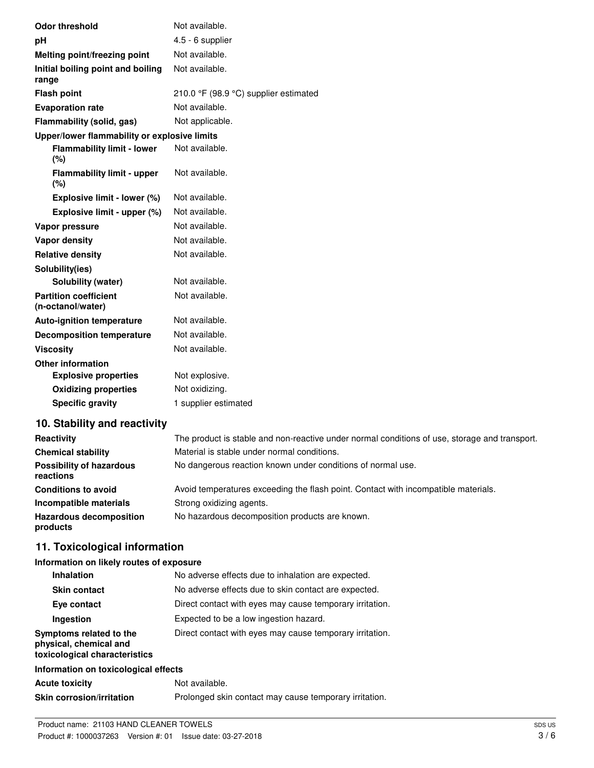| <b>Odor threshold</b>                             | Not available.                        |  |
|---------------------------------------------------|---------------------------------------|--|
| pH                                                | 4.5 - 6 supplier                      |  |
| Melting point/freezing point                      | Not available.                        |  |
| Initial boiling point and boiling<br>range        | Not available.                        |  |
| <b>Flash point</b>                                | 210.0 °F (98.9 °C) supplier estimated |  |
| <b>Evaporation rate</b>                           | Not available.                        |  |
| Flammability (solid, gas)                         | Not applicable.                       |  |
| Upper/lower flammability or explosive limits      |                                       |  |
| <b>Flammability limit - lower</b><br>(%)          | Not available.                        |  |
| <b>Flammability limit - upper</b><br>(%)          | Not available.                        |  |
| Explosive limit - lower (%)                       | Not available.                        |  |
| Explosive limit - upper (%)                       | Not available.                        |  |
| Vapor pressure                                    | Not available.                        |  |
| <b>Vapor density</b>                              | Not available.                        |  |
| <b>Relative density</b>                           | Not available.                        |  |
| Solubility(ies)                                   |                                       |  |
| Solubility (water)                                | Not available.                        |  |
| <b>Partition coefficient</b><br>(n-octanol/water) | Not available.                        |  |
| <b>Auto-ignition temperature</b>                  | Not available.                        |  |
| <b>Decomposition temperature</b>                  | Not available.                        |  |
| <b>Viscosity</b>                                  | Not available.                        |  |
| <b>Other information</b>                          |                                       |  |
| <b>Explosive properties</b>                       | Not explosive.                        |  |
| <b>Oxidizing properties</b>                       | Not oxidizing.                        |  |
| <b>Specific gravity</b>                           | 1 supplier estimated                  |  |
| 10 Stability and reactivity                       |                                       |  |

## **10. Stability and reactivity**

| Reactivity                                   | The product is stable and non-reactive under normal conditions of use, storage and transport. |
|----------------------------------------------|-----------------------------------------------------------------------------------------------|
| <b>Chemical stability</b>                    | Material is stable under normal conditions.                                                   |
| <b>Possibility of hazardous</b><br>reactions | No dangerous reaction known under conditions of normal use.                                   |
| <b>Conditions to avoid</b>                   | Avoid temperatures exceeding the flash point. Contact with incompatible materials.            |
| Incompatible materials                       | Strong oxidizing agents.                                                                      |
| <b>Hazardous decomposition</b><br>products   | No hazardous decomposition products are known.                                                |

# **11. Toxicological information**

## **Information on likely routes of exposure**

| <b>Inhalation</b>                                                                  | No adverse effects due to inhalation are expected.       |
|------------------------------------------------------------------------------------|----------------------------------------------------------|
| <b>Skin contact</b>                                                                | No adverse effects due to skin contact are expected.     |
| Eye contact                                                                        | Direct contact with eyes may cause temporary irritation. |
| Ingestion                                                                          | Expected to be a low ingestion hazard.                   |
| Symptoms related to the<br>physical, chemical and<br>toxicological characteristics | Direct contact with eyes may cause temporary irritation. |
| Information on toxicological effects                                               |                                                          |

| <b>Acute toxicity</b>            | Not available.                                         |
|----------------------------------|--------------------------------------------------------|
| <b>Skin corrosion/irritation</b> | Prolonged skin contact may cause temporary irritation. |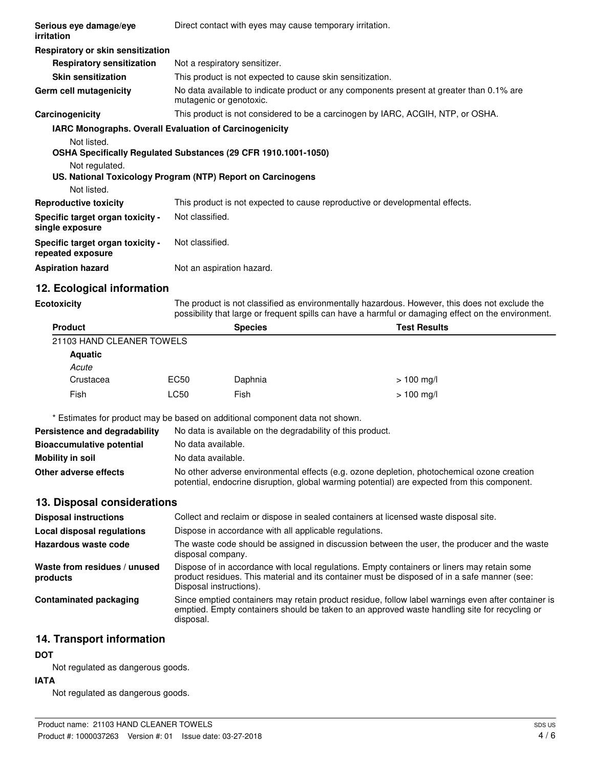| Respiratory or skin sensitization<br>Not a respiratory sensitizer.<br><b>Respiratory sensitization</b><br>This product is not expected to cause skin sensitization.<br><b>Skin sensitization</b><br>No data available to indicate product or any components present at greater than 0.1% are<br>mutagenic or genotoxic.<br>This product is not considered to be a carcinogen by IARC, ACGIH, NTP, or OSHA.<br><b>IARC Monographs. Overall Evaluation of Carcinogenicity</b><br>Not listed.<br>OSHA Specifically Regulated Substances (29 CFR 1910.1001-1050)<br>Not regulated.<br>US. National Toxicology Program (NTP) Report on Carcinogens<br>Not listed.<br>This product is not expected to cause reproductive or developmental effects.<br>Not classified.<br>Not classified.<br>Not an aspiration hazard. | Serious eye damage/eye<br>irritation                  | Direct contact with eyes may cause temporary irritation. |
|-----------------------------------------------------------------------------------------------------------------------------------------------------------------------------------------------------------------------------------------------------------------------------------------------------------------------------------------------------------------------------------------------------------------------------------------------------------------------------------------------------------------------------------------------------------------------------------------------------------------------------------------------------------------------------------------------------------------------------------------------------------------------------------------------------------------|-------------------------------------------------------|----------------------------------------------------------|
|                                                                                                                                                                                                                                                                                                                                                                                                                                                                                                                                                                                                                                                                                                                                                                                                                 |                                                       |                                                          |
|                                                                                                                                                                                                                                                                                                                                                                                                                                                                                                                                                                                                                                                                                                                                                                                                                 |                                                       |                                                          |
|                                                                                                                                                                                                                                                                                                                                                                                                                                                                                                                                                                                                                                                                                                                                                                                                                 |                                                       |                                                          |
|                                                                                                                                                                                                                                                                                                                                                                                                                                                                                                                                                                                                                                                                                                                                                                                                                 | Germ cell mutagenicity                                |                                                          |
|                                                                                                                                                                                                                                                                                                                                                                                                                                                                                                                                                                                                                                                                                                                                                                                                                 | Carcinogenicity                                       |                                                          |
|                                                                                                                                                                                                                                                                                                                                                                                                                                                                                                                                                                                                                                                                                                                                                                                                                 |                                                       |                                                          |
|                                                                                                                                                                                                                                                                                                                                                                                                                                                                                                                                                                                                                                                                                                                                                                                                                 | <b>Reproductive toxicity</b>                          |                                                          |
|                                                                                                                                                                                                                                                                                                                                                                                                                                                                                                                                                                                                                                                                                                                                                                                                                 | Specific target organ toxicity -<br>single exposure   |                                                          |
|                                                                                                                                                                                                                                                                                                                                                                                                                                                                                                                                                                                                                                                                                                                                                                                                                 | Specific target organ toxicity -<br>repeated exposure |                                                          |
|                                                                                                                                                                                                                                                                                                                                                                                                                                                                                                                                                                                                                                                                                                                                                                                                                 | <b>Aspiration hazard</b>                              |                                                          |

# **12. Ecological information**

**Ecotoxicity**

The product is not classified as environmentally hazardous. However, this does not exclude the possibility that large or frequent spills can have a harmful or damaging effect on the environment.

| <b>Product</b>            |             | <b>Species</b> | <b>Test Results</b> |  |
|---------------------------|-------------|----------------|---------------------|--|
| 21103 HAND CLEANER TOWELS |             |                |                     |  |
| <b>Aquatic</b>            |             |                |                     |  |
| Acute                     |             |                |                     |  |
| Crustacea                 | EC50        | Daphnia        | $> 100$ mg/l        |  |
| Fish                      | <b>LC50</b> | Fish           | $> 100$ mg/l        |  |

\* Estimates for product may be based on additional component data not shown.

| Persistence and degradability    | No data is available on the degradability of this product.                                                                                                                                 |
|----------------------------------|--------------------------------------------------------------------------------------------------------------------------------------------------------------------------------------------|
| <b>Bioaccumulative potential</b> | No data available.                                                                                                                                                                         |
| Mobility in soil                 | No data available.                                                                                                                                                                         |
| Other adverse effects            | No other adverse environmental effects (e.g. ozone depletion, photochemical ozone creation<br>potential, endocrine disruption, global warming potential) are expected from this component. |

#### **13. Disposal considerations**

| <b>Disposal instructions</b>             | Collect and reclaim or dispose in sealed containers at licensed waste disposal site.                                                                                                                                   |
|------------------------------------------|------------------------------------------------------------------------------------------------------------------------------------------------------------------------------------------------------------------------|
| Local disposal regulations               | Dispose in accordance with all applicable regulations.                                                                                                                                                                 |
| Hazardous waste code                     | The waste code should be assigned in discussion between the user, the producer and the waste<br>disposal company.                                                                                                      |
| Waste from residues / unused<br>products | Dispose of in accordance with local regulations. Empty containers or liners may retain some<br>product residues. This material and its container must be disposed of in a safe manner (see:<br>Disposal instructions). |
| Contaminated packaging                   | Since emptied containers may retain product residue, follow label warnings even after container is<br>emptied. Empty containers should be taken to an approved waste handling site for recycling or<br>disposal.       |

#### **14. Transport information**

#### **DOT**

Not regulated as dangerous goods.

### **IATA**

Not regulated as dangerous goods.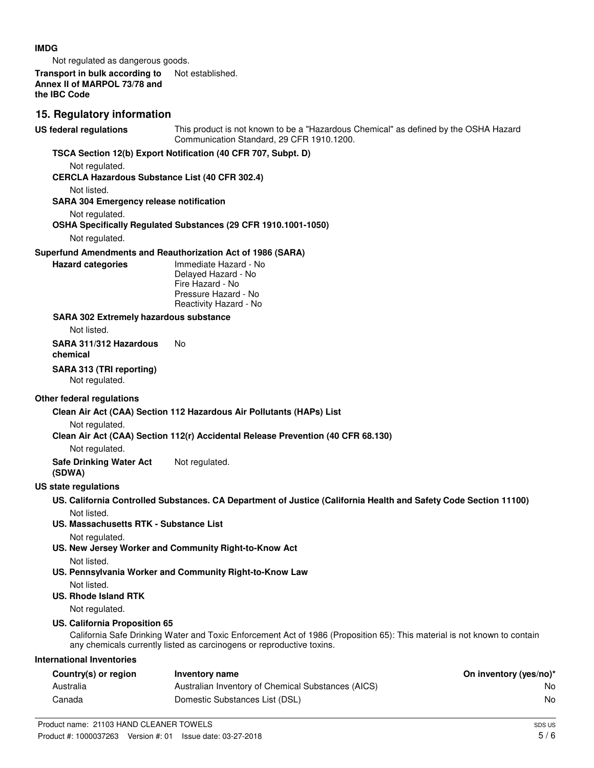#### **IMDG**

Not regulated as dangerous goods.

#### **Transport in bulk according to** Not established. **Annex II of MARPOL 73/78 and the IBC Code**

# **15. Regulatory information**

This product is not known to be a "Hazardous Chemical" as defined by the OSHA Hazard Communication Standard, 29 CFR 1910.1200. **US federal regulations TSCA Section 12(b) Export Notification (40 CFR 707, Subpt. D)** Not regulated. **CERCLA Hazardous Substance List (40 CFR 302.4)** Not listed. **SARA 304 Emergency release notification** Not regulated. **OSHA Specifically Regulated Substances (29 CFR 1910.1001-1050)** Not regulated. **Superfund Amendments and Reauthorization Act of 1986 (SARA)** Immediate Hazard - No Delayed Hazard - No Fire Hazard - No Pressure Hazard - No Reactivity Hazard - No **Hazard categories SARA 302 Extremely hazardous substance** Not listed. **SARA 311/312 Hazardous** No **chemical SARA 313 (TRI reporting)** Not regulated. **Other federal regulations Clean Air Act (CAA) Section 112 Hazardous Air Pollutants (HAPs) List** Not regulated. **Clean Air Act (CAA) Section 112(r) Accidental Release Prevention (40 CFR 68.130)** Not regulated. **Safe Drinking Water Act** Not regulated. **(SDWA) US state regulations US. California Controlled Substances. CA Department of Justice (California Health and Safety Code Section 11100)** Not listed. **US. Massachusetts RTK - Substance List** Not regulated. **US. New Jersey Worker and Community Right-to-Know Act** Not listed. **US. Pennsylvania Worker and Community Right-to-Know Law** Not listed. **US. Rhode Island RTK** Not regulated. **US. California Proposition 65** California Safe Drinking Water and Toxic Enforcement Act of 1986 (Proposition 65): This material is not known to contain any chemicals currently listed as carcinogens or reproductive toxins. **International Inventories Country(s) or region Inventory name On inventory (yes/no)\*** Australia **Australian Inventory of Chemical Substances (AICS)** No **No** Canada Domestic Substances List (DSL) No